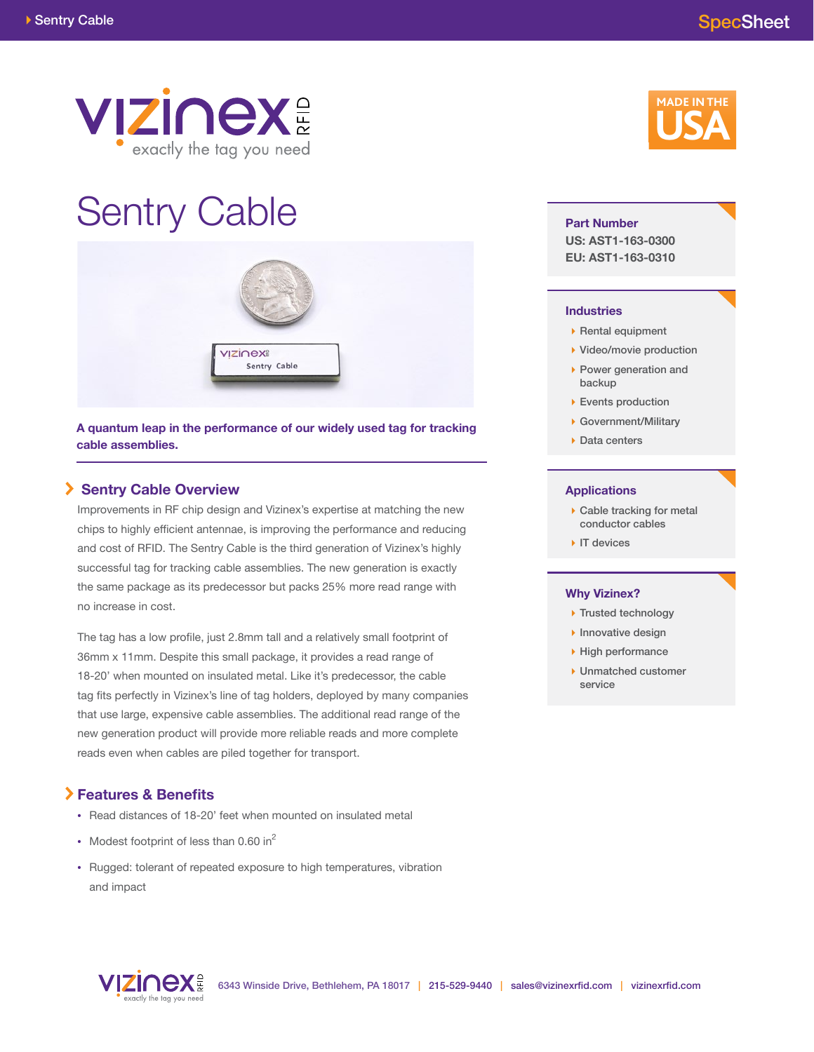

# Sentry Cable



**A quantum leap in the performance of our widely used tag for tracking cable assemblies.**

# **Sentry Cable Overview**

Improvements in RF chip design and Vizinex's expertise at matching the new chips to highly efficient antennae, is improving the performance and reducing and cost of RFID. The Sentry Cable is the third generation of Vizinex's highly successful tag for tracking cable assemblies. The new generation is exactly the same package as its predecessor but packs 25% more read range with no increase in cost.

The tag has a low profile, just 2.8mm tall and a relatively small footprint of 36mm x 11mm. Despite this small package, it provides a read range of 18-20' when mounted on insulated metal. Like it's predecessor, the cable tag fits perfectly in Vizinex's line of tag holders, deployed by many companies that use large, expensive cable assemblies. The additional read range of the new generation product will provide more reliable reads and more complete reads even when cables are piled together for transport.

# **Features & Benefits**

- **•** Read distances of 18-20' feet when mounted on insulated metal
- Modest footprint of less than 0.60 in<sup>2</sup>
- **•** Rugged: tolerant of repeated exposure to high temperatures, vibration and impact



#### **Part Number**

**US: AST1-163-0300 EU: AST1-163-0310**

#### **Industries**

- $\triangleright$  Rental equipment
- ▶ Video/movie production
- ▶ Power generation and backup
- ▶ Events production
- Government/Military
- ▶ Data centers

#### **Applications**

- ▶ Cable tracking for metal conductor cables
- IT devices

#### **Why Vizinex?**

- ▶ Trusted technology
- $\blacktriangleright$  Innovative design
- High performance
- ▶ Unmatched customer service